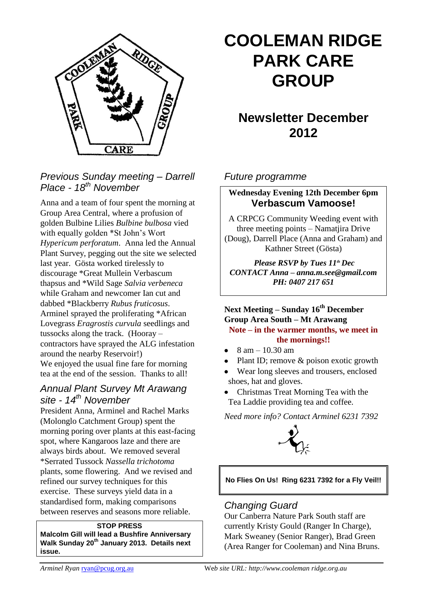

# *Previous Sunday meeting – Darrell Place - 18th November*

Anna and a team of four spent the morning at Group Area Central, where a profusion of golden Bulbine Lilies *Bulbine bulbosa* vied with equally golden \*St John's Wort *Hypericum perforatum*. Anna led the Annual Plant Survey, pegging out the site we selected last year. Gösta worked tirelessly to discourage \*Great Mullein Verbascum thapsus and \*Wild Sage *Salvia verbeneca*  while Graham and newcomer Ian cut and dabbed \*Blackberry *Rubus fruticosus*. Arminel sprayed the proliferating \*African Lovegrass *Eragrostis curvula* seedlings and tussocks along the track. (Hooray – contractors have sprayed the ALG infestation around the nearby Reservoir!) We enjoyed the usual fine fare for morning tea at the end of the session. Thanks to all!

# *Annual Plant Survey Mt Arawang site - 14th November*

President Anna, Arminel and Rachel Marks (Molonglo Catchment Group) spent the morning poring over plants at this east-facing spot, where Kangaroos laze and there are always birds about. We removed several \*Serrated Tussock *Nassella trichotoma* plants, some flowering. And we revised and refined our survey techniques for this exercise. These surveys yield data in a standardised form, making comparisons between reserves and seasons more reliable.

#### **STOP PRESS**

**Malcolm Gill will lead a Bushfire Anniversary Walk Sunday 20th January 2013. Details next issue.**

# **COOLEMAN RIDGE PARK CARE GROUP**

# **Newsletter December 2012**

#### *Future programme*

### **Wednesday Evening 12th December 6pm Verbascum Vamoose!**

A CRPCG Community Weeding event with three meeting points – Namatjira Drive (Doug), Darrell Place (Anna and Graham) and Kathner Street (Gösta)

*Please RSVP by Tues 11th Dec CONTACT Anna – anna.m.see@gmail.com PH: 0407 217 651*

**Next Meeting – Sunday 16th December Group Area South – Mt Arawang Note – in the warmer months, we meet in the mornings!!**

- 8 am 10.30 am
- Plant ID; remove & poison exotic growth
- Wear long sleeves and trousers, enclosed shoes, hat and gloves.
- Christmas Treat Morning Tea with the Tea Laddie providing tea and coffee.

*Need more info? Contact Arminel 6231 7392*



#### **No Flies On Us! Ring 6231 7392 for a Fly Veil!!**

#### *Changing Guard*

Our Canberra Nature Park South staff are currently Kristy Gould (Ranger In Charge), Mark Sweaney (Senior Ranger), Brad Green (Area Ranger for Cooleman) and Nina Bruns.